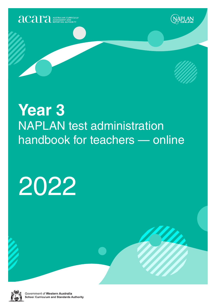





# **Year 3** NAPLAN test administration handbook for teachers — online

# 2022



Government of Western Australia **School Curriculum and Standards Authority**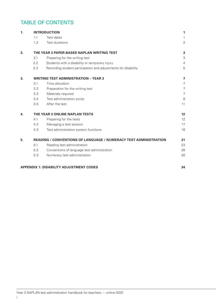# TABLE OF CONTENTS

| 1. |     | <b>INTRODUCTION</b>                                              | 1                       |
|----|-----|------------------------------------------------------------------|-------------------------|
|    | 1.1 | Test dates                                                       | $\mathbf{1}$            |
|    | 1.2 | Test durations                                                   | $\overline{2}$          |
| 2. |     | THE YEAR 3 PAPER-BASED NAPLAN WRITING TEST                       | 3                       |
|    | 2.1 | Preparing for the writing test                                   | 3                       |
|    | 2.2 | Students with a disability or temporary injury                   | $\overline{4}$          |
|    | 2.3 | Recording student participation and adjustments for disability   | 5                       |
| 3. |     | <b>WRITING TEST ADMINISTRATION - YEAR 3</b>                      | $\overline{\mathbf{z}}$ |
|    | 3.1 | Time allocation                                                  | $\overline{7}$          |
|    | 3.2 | Preparation for the writing test                                 | $\overline{7}$          |
|    | 3.3 | Materials required                                               | $\overline{7}$          |
|    | 3.4 | Test administration script                                       | 8                       |
|    | 3.5 | After the test                                                   | 11                      |
| 4. |     | THE YEAR 3 ONLINE NAPLAN TESTS                                   | 12                      |
|    | 4.1 | Preparing for the tests                                          | 12                      |
|    | 4.2 | Managing a test session                                          | 17                      |
|    | 4.3 | Test administration system functions                             | 18                      |
| 5. |     | READING / CONVENTIONS OF LANGUAGE / NUMERACY TEST ADMINISTRATION | 21                      |
|    | 5.1 | Reading test administration                                      | 23                      |
|    | 5.2 | Conventions of language test administration                      | 26                      |
|    | 5.3 | Numeracy test administration                                     | 30                      |
|    |     |                                                                  |                         |

#### **APPENDIX 1: DISABILITY ADJUSTMENT CODES 34**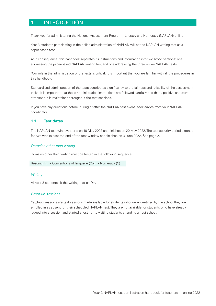### 1. INTRODUCTION

Thank you for administering the National Assessment Program – Literacy and Numeracy (NAPLAN) online.

Year 3 students participating in the online administration of NAPLAN will sit the NAPLAN writing test as a paper-based test.

As a consequence, this handbook separates its instructions and information into two broad sections: one addressing the paper-based NAPLAN writing test and one addressing the three online NAPLAN tests.

Your role in the administration of the tests is critical. It is important that you are familiar with all the procedures in this handbook.

Standardised administration of the tests contributes significantly to the fairness and reliability of the assessment tasks. It is important that these administration instructions are followed carefully and that a positive and calm atmosphere is maintained throughout the test sessions.

If you have any questions before, during or after the NAPLAN test event, seek advice from your NAPLAN coordinator.

#### **1.1 Test dates**

The NAPLAN test window starts on 10 May 2022 and finishes on 20 May 2022. The test security period extends for two weeks past the end of the test window and finishes on 3 June 2022. See page 2.

#### *Domains other than writing*

Domains other than writing must be tested in the following sequence:

```
Reading (R) \rightarrow Conventions of language (Col) \rightarrow Numeracy (N)
```
#### *Writing*

All year 3 students sit the writing test on Day 1.

#### *Catch-up sessions*

Catch-up sessions are test sessions made available for students who were identified by the school they are enrolled in as absent for their scheduled NAPLAN test. They are not available for students who have already logged into a session and started a test nor to visiting students attending a host school.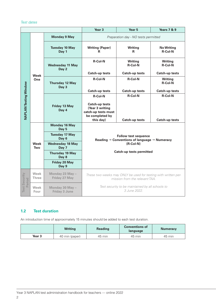#### *Test dates*

|                                |                      |                                         | Year <sub>3</sub>                                                                                   | <b>Years 7 &amp; 9</b>               |                                     |  |  |
|--------------------------------|----------------------|-----------------------------------------|-----------------------------------------------------------------------------------------------------|--------------------------------------|-------------------------------------|--|--|
|                                |                      | <b>Monday 9 May</b>                     |                                                                                                     | Preparation day - NO tests permitted |                                     |  |  |
|                                |                      | <b>Tuesday 10 May</b><br>Day 1          | <b>Writing (Paper)</b><br>R                                                                         | <b>Writing</b><br>R                  | <b>No Writing</b><br><b>R-Col-N</b> |  |  |
|                                |                      | <b>Wednesday 11 May</b><br>Day 2        | <b>R-Col-N</b>                                                                                      | <b>Writing</b><br><b>R-Col-N</b>     | <b>Writing</b><br><b>R-Col-N</b>    |  |  |
|                                | <b>Week</b>          |                                         | <b>Catch-up tests</b>                                                                               | <b>Catch-up tests</b>                | <b>Catch-up tests</b>               |  |  |
|                                | One                  | <b>Thursday 12 May</b><br>Day 3         | <b>R-Col-N</b>                                                                                      | <b>R-Col-N</b>                       | <b>Writing</b><br><b>R-Col-N</b>    |  |  |
|                                |                      |                                         | Catch-up tests                                                                                      | <b>Catch-up tests</b>                | <b>Catch-up tests</b>               |  |  |
| <b>NAPLAN Testing Window</b>   |                      | Friday 13 May<br>Day 4                  | <b>R-Col-N</b><br><b>Catch-up tests</b><br>(Year 3 writing<br>catch-up tests must                   | <b>R-Col-N</b>                       | <b>R-Col-N</b>                      |  |  |
|                                |                      |                                         | be completed by                                                                                     |                                      |                                     |  |  |
|                                |                      |                                         | this day)                                                                                           | <b>Catch-up tests</b>                | <b>Catch-up tests</b>               |  |  |
|                                |                      | <b>Monday 16 May</b><br>Day 5           |                                                                                                     |                                      |                                     |  |  |
|                                |                      | <b>Tuesday 17 May</b><br>Day 6          | <b>Follow test sequence</b><br>Reading $\rightarrow$ Conventions of language $\rightarrow$ Numeracy |                                      |                                     |  |  |
|                                | <b>Week</b><br>Two   | <b>Wednesday 18 May</b><br>Day 7        |                                                                                                     |                                      |                                     |  |  |
|                                |                      | <b>Thursday 19 May</b><br>Day 8         |                                                                                                     | <b>Catch-up tests permitted</b>      |                                     |  |  |
|                                |                      | <b>Friday 20 May</b><br>Day 9           |                                                                                                     |                                      |                                     |  |  |
| <b>Test Security</b><br>Period | Week<br><b>Three</b> | Monday 23 May -<br>Friday 27 May        | These two weeks may ONLY be used for testing with written per-<br>mission from the relevant TAA.    |                                      |                                     |  |  |
|                                | Week<br>Four         | Monday 30 May -<br><b>Friday 3 June</b> | Test security to be maintained by all schools to<br>3 June 2022.                                    |                                      |                                     |  |  |

#### **1.2 Test duration**

An introduction time of approximately 15 minutes should be added to each test duration.

|                   | <b>Writing</b> | <b>Reading</b> | <b>Conventions of</b><br>language | <b>Numeracy</b> |
|-------------------|----------------|----------------|-----------------------------------|-----------------|
| Year <sub>3</sub> | 40 min (paper) | 45 min         | 45 min                            | 45 min          |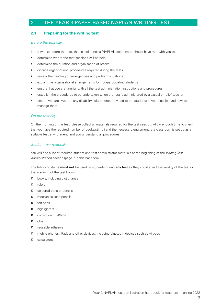## 2. THE YEAR 3 PAPER-BASED NAPLAN WRITING TEST

#### **2.1 Preparing for the writing test**

#### *Before the test day*

In the weeks before the test, the school principal/NAPLAN coordinator should have met with you to:

- determine where the test sessions will be held
- determine the duration and organisation of breaks
- discuss organisational procedures required during the tests
- review the handling of emergencies and problem situations
- explain the organisational arrangements for non-participating students
- ensure that you are familiar with all the test administration instructions and procedures
- establish the procedures to be undertaken when the test is administered by a casual or relief teacher
- ensure you are aware of any disability adjustments provided to the students in your session and how to manage them.

#### *On the test day*

On the morning of the test, please collect all materials required for the test session. Allow enough time to check that you have the required number of books/stimuli and the necessary equipment, the classroom is set up as a suitable test environment, and you understand all procedures.

#### *Student test materials*

You will find a list of required student and test administrator materials at the beginning of the *Writing Test Administration* section (page 7 in this handbook).

The following items **must not** be used by students during **any test** as they could affect the validity of the test or the scanning of the test books:

- **x** books, including dictionaries
- 8 rulers
- **x** coloured pens or pencils
- 8 mechanical lead pencils
- **x** felt pens
- 8 highlighters
- **x** correction fluid/tape
- **x** glue
- **x** reusable adhesive
- 8 mobile phones, iPads and other devices, including bluetooth devices such as Airpods
- **x** calculators.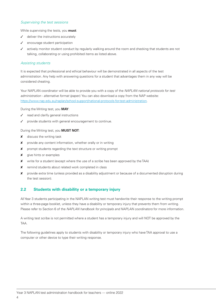#### *Supervising the test sessions*

While supervising the tests, you **must**:

- $\checkmark$  deliver the instructions accurately
- $\checkmark$  encourage student participation
- actively monitor student conduct by regularly walking around the room and checking that students are not talking, collaborating or using prohibited items as listed above.

#### *Assisting students*

It is expected that professional and ethical behaviour will be demonstrated in all aspects of the test administration. Any help with answering questions for a student that advantages them in any way will be considered cheating.

Your NAPLAN coordinator will be able to provide you with a copy of the *NAPLAN national protocols for test administration - alternative format (paper)*. You can also download a copy from the NAP website: https://www.nap.edu.au/naplan/school-support/national-protocols-for-test-administration.

During the Writing test, you **MAY**:

- read and clarify general instructions
- $J$  provide students with general encouragement to continue.

#### During the Writing test, you **MUST NOT**:

- $x$  discuss the writing task
- 8 provide any content information, whether orally or in writing
- 8 prompt students regarding the text structure or writing prompt
- **x** give hints or examples
- **X** write for a student (except where the use of a scribe has been approved by the TAA)
- **X** remind students about related work completed in class
- 8 provide extra time (unless provided as a disability adjustment or because of a documented disruption during the test session).

#### **2.2 Students with disability or a temporary injury**

All Year 3 students participating in the NAPLAN writing test must handwrite their response to the writing prompt within a three-page booklet, unless they have a disability or temporary injury that prevents them from writing. Please refer to Section 6 of the *NAPLAN handbook for principals and NAPLAN coordinators* for more information.

A writing test scribe is not permitted where a student has a temporary injury and will NOT be approved by the TAA.

The following guidelines apply to students with disability or temporary injury who have TAA approval to use a computer or other device to type their writing response.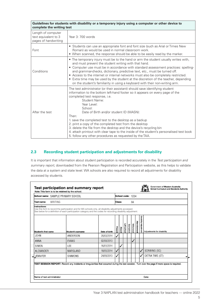| Guidelines for students with disability or a temporary injury using a computer or other device to<br>complete the writing test |                                                                                                                                                                                                                                                                                                                                                                                                                                                                                                                                                                                                                                              |  |  |  |  |  |
|--------------------------------------------------------------------------------------------------------------------------------|----------------------------------------------------------------------------------------------------------------------------------------------------------------------------------------------------------------------------------------------------------------------------------------------------------------------------------------------------------------------------------------------------------------------------------------------------------------------------------------------------------------------------------------------------------------------------------------------------------------------------------------------|--|--|--|--|--|
| Length of computer<br>text equivalent to 3<br>pages of handwriting                                                             | Year 3: 700 words                                                                                                                                                                                                                                                                                                                                                                                                                                                                                                                                                                                                                            |  |  |  |  |  |
| Font                                                                                                                           | • Students can use an appropriate font and font size (such as Arial or Times New<br>Roman) as would be used in normal classroom work.<br>• When scanned, the response should be able to be easily read by the marker.                                                                                                                                                                                                                                                                                                                                                                                                                        |  |  |  |  |  |
| Conditions                                                                                                                     | • The temporary injury must be to the hand or arm the student usually writes with,<br>and must prevent the student writing with that hand.<br>• Computer use must be in accordance with standard assessment practices: spelling-<br>and grammar-checks, dictionary, predictive text, etc., must be turned off.<br>• Access to the internet or internal networks must also be completely restricted.<br>• Extra time may be used by the student at the discretion of the teacher, depending<br>on the student's familiarity in using a keyboard with their non-writing arm.                                                                   |  |  |  |  |  |
| After the test                                                                                                                 | The test administrator (or their assistant) should save identifying student<br>information to the bottom left-hand footer so it appears on every page of the<br>completed test response, i.e.<br>Student Name:<br>Year Level:<br>School:<br>Date of Birth and/or student ID (WASN):<br>Then:<br>1. save the completed test to the desktop as a backup<br>2. print a copy of the completed test from the desktop<br>3. delete the file from the desktop and the device's recycling bin<br>4. attach printout with clear tape to the inside of the student's personalised test book<br>5. follow any other procedures as requested by the TAA. |  |  |  |  |  |

#### **2.3 Recording student participation and adjustments for disability**

It is important that information about student participation is recorded accurately in the *Test participation and summary report*, downloaded from the Pearson Registration and Participation website, as this helps to validate the data at a system and state level. WA schools are also required to record all adjustments for disability accessed by students.

| School name: SAMPLE PRIMARY SCHOOL                                                                                                                                                                                                       |  |                    |               | School code: 1234 |       |            |           |           |            |                       |                            |
|------------------------------------------------------------------------------------------------------------------------------------------------------------------------------------------------------------------------------------------|--|--------------------|---------------|-------------------|-------|------------|-----------|-----------|------------|-----------------------|----------------------------|
| WRITING<br>Test name:                                                                                                                                                                                                                    |  |                    |               | 3A<br> Class:     |       |            |           |           |            |                       |                            |
| Instructions:<br>Use this form to record the participation and for WA schools only, all disability adjustments accessed.<br>See below for a definition of each participation category and the codes for recording disability adjustment. |  |                    |               |                   |       |            |           |           |            |                       |                            |
| Student's first name                                                                                                                                                                                                                     |  | lStudent's surname | Date of birth | Presen            | Absen | Left schoo | Exemption | Withdrawa | Abandonmen | Disability Adjustment | Adjustments for disability |
| <b>JOHN</b>                                                                                                                                                                                                                              |  | ANDERSON           | 20/03/2014    | ✓                 |       |            |           |           |            |                       |                            |
| ANNA                                                                                                                                                                                                                                     |  | <b>EVANS</b>       | 02/08/2013    |                   |       |            |           |           |            |                       |                            |
| SIMON                                                                                                                                                                                                                                    |  | LEE                | 16/01/2014    |                   | √     |            |           |           |            |                       |                            |
| ALEXANDER                                                                                                                                                                                                                                |  | <b>MARSLAND</b>    | 18/05/2014    | √                 |       |            |           |           |            | √                     | SCRIBING (SC)              |
| <b>JENNIFER</b>                                                                                                                                                                                                                          |  | SIMMONS            | 24/09/2013    |                   |       |            |           |           |            | √                     | EXTRA TIME (ET)            |
| TEST SESSION REPORT: Record any incidents or irregularities that occurred during the test session. Turn over the page if more space is required.                                                                                         |  |                    |               |                   |       |            |           |           |            |                       |                            |
| Name of test administrator:<br>Date:                                                                                                                                                                                                     |  |                    |               |                   |       |            |           |           |            |                       |                            |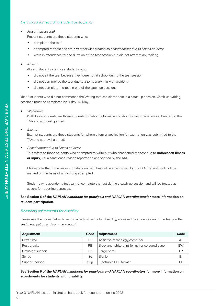#### *Definitions for recording student participation*

*• Present (assessed)*

Present students are those students who:

- completed the test
- attempted the test and are **not** otherwise treated as *abandonment due to illness or injury*
- were in attendance for the duration of the test session but did not attempt any writing.
- *• Absent*

Absent students are those students who:

- did not sit the test because they were not at school during the test session
- did not commence the test due to a temporary injury or accident
- did not complete the test in one of the catch-up sessions.

Year 3 students who did not commence the Writing test can sit the test in a catch-up session. Catch-up writing sessions must be completed by Friday, 13 May.

*• Withdrawn*

Withdrawn students are those students for whom a formal application for withdrawal was submitted to the TAA and approval granted.

*• Exempt*

Exempt students are those students for whom a formal application for exemption was submitted to the TAA and approval granted.

*• Abandonment due to illness or injury*

This refers to those students who attempted to write but who abandoned the test due to **unforeseen illness or injury**, i.e. a sanctioned reason reported to and verified by the TAA.

Please note that if the reason for abandonment has not been approved by the TAA the test book will be marked on the basis of any writing attempted.

Students who abandon a test cannot complete the test during a catch-up session and will be treated as absent for reporting purposes.

#### **See Section 5 of the** *NAPLAN handbook for principals and NAPLAN coordinators* **for more information on student participation.**

#### *Recording adjustments for disability*

Please use the codes below to record all adjustments for disability, accessed by students during the test, on the *Test participation and summary report.*

| <b>Adjustment</b><br>Code |           | <b>Adjustment</b>                              | Code         |
|---------------------------|-----------|------------------------------------------------|--------------|
| ΕI<br>Extra time          |           | Assistive technology/computer                  | A٦           |
| Rest breaks               | <b>RB</b> | Black and white print format or coloured paper | <b>BW</b>    |
| OS<br>Oral/Sign support   |           | Large print                                    | $\mathsf{D}$ |
| Scribe                    | Sc        | <b>Braille</b>                                 | Br           |
| Support person            |           | Electronic PDF format                          |              |

**See Section 6 of the** *NAPLAN handbook for principals and NAPLAN coordinators* **for more information on adjustments for students with disability.**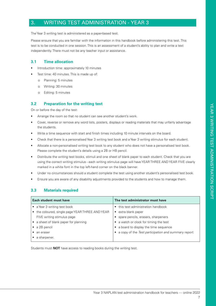# 3. WRITING TEST ADMINISTRATION - YEAR 3

The Year 3 writing test is administered as a paper-based test.

Please ensure that you are familiar with the information in this handbook before administering this test. This test is to be conducted in one session. This is an assessment of a student's ability to plan and write a text independently. There must not be any teacher input or assistance.

#### **3.1 Time allocation**

- Introduction time: approximately 10 minutes
- Test time: 40 minutes. This is made up of:
	- o Planning: 5 minutes
	- o Writing: 30 minutes
	- o Editing: 5 minutes

#### **3.2 Preparation for the writing test**

On or before the day of the test:

- Arrange the room so that no student can see another student's work.
- Cover, reverse or remove any word lists, posters, displays or reading materials that may unfairly advantage the students.
- Write a time sequence with start and finish times including 10 minute intervals on the board.
- Check that there is a personalised Year 3 writing test book and a Year 3 writing stimulus for each student.
- Allocate a non-personalised writing test book to any student who does not have a personalised test book. Please complete the student's details using a 2B or HB pencil.
- Distribute the writing test books, stimuli and one sheet of blank paper to each student. Check that you are using the correct writing stimulus - each writing stimulus page will have YEAR THREE AND YEAR FIVE clearly marked in a white font in the top left-hand corner on the black banner.
- Under no circumstances should a student complete the test using another student's personalised test book.
- Ensure you are aware of any disability adjustments provided to the students and how to manage them.

#### **3.3 Materials required**

| <b>Each student must have</b>                 | The test administrator must have                     |
|-----------------------------------------------|------------------------------------------------------|
| • a Year 3 writing test book                  | this test administration handbook<br>$\bullet$       |
| the coloured, single page YEAR THREE AND YEAR | extra blank paper<br>$\bullet$                       |
| FIVE writing stimulus page                    | spare pencils, erasers, sharpeners                   |
| a sheet of blank paper for planning           | a watch or clock for timing the test                 |
| a 2B pencil                                   | a board to display the time sequence                 |
| an eraser                                     | a copy of the Test participation and summary report. |
| a sharpener.                                  |                                                      |
|                                               |                                                      |

Students must **NOT** have access to reading books during the writing test.

7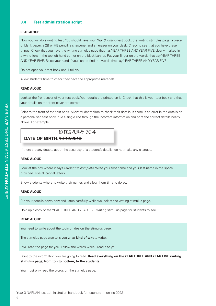#### **3.4 Test administration script**

#### **READ ALOUD**

Now you will do a writing test. You should have your *Year 3 writing* test book, the writing stimulus page, a piece<br>of blank nanor, a 2B as UB nanoil, a chernanor and an ereces on your deals. Check to eac that you have the of blank paper, a 2B or HB pencil, a sharpener and an eraser on your desk. Check to see that you have these **year** things. Check that you have the writing stimulus page that has YEAR THREE AND YEAR FIVE clearly marked in a white font in the top left hand corner on the black banner. Put your finger on the words that say YEAR THREE AND YEAR FIVE. Raise your hand if you cannot find the words that say YEAR THREE AND YEAR FIVE.<br>Pe not enen your test book until Ltell you in<br>EE<br>**1 h**<br>E<br>**E** 

**2017**

**2013**

0123456

pencil **only** or a blue or

AND YEAR FIVE. Raise your hand if you ca<br>Do not open your test book until I tell you.

Do not open your test book until I tell you.<br>Allow students time to check they have the appropriate materials.

#### **READ ALOUD STUDENT FIRST NAME:** AD ALU:

Look at the front cover of your test book. Your details are printed on it. Check that this is your test book and that your details on the front cover are correct. **HOME GROUP:**

Point to the front of the test book. Allow students time to check their details. If there is an error in the details on a personalised test book, rule a single line through the incorrect information and print the correct details neatly above. For example: **SCHOOL CODE:**

# 10 FEBRUARY 2014

SAMPLE PRIMARY SCHOOL NAME

**DATE OF BIRTH:** 10/12/2010 **DATE OF BIRTH:** 10/12/2013

If there are any doubts about the accuracy of a student's details, do not make any changes. Is the student and the BOY or a GIRL?

#### **READ ALOUD**

Look at the box where it says *Student to complete*. Write your first name and your last name in the space provided. Use all capital letters.

Show students where to write their names and allow them time to do so.  $\overline{\mathcal{S}}$ 

#### **READ ALOUD**  $2.2222$  Please indicate indicate indicate indicate this student was given disability adjustments to complete this test of  $\sim$

Put your pencils down now and listen carefully while we look at the writing stimulus page.

Hold up a copy of the YEAR THREE AND YEAR FIVE writing stimulus page for students to see.

#### **READ ALOUD**

You need to write about the topic or idea on the stimulus page.

The stimulus page also tells you what **kind of text** to write. Use pengin and the pencilland pencil, blue or blue or blue or blue or blue or blue or blue or blue or blue or b **2.** stimulus page also tells you what **kind of text** to write.

will read the page for you. Follow the words while I read it to you.

Point to the information you are going to read. **Read everything on the YEAR THREE AND YEAR FIVE writing stimulus page, from top to bottom, to the students.** nt to the information you are going to read. **Read everything on tr** 

You must only read the words on the stimulus page.

-<br>Year 3 NAPLAN test administration handbook for teachers — online 2022<br>. anon nanapook for teachers of 3 NAPLAN test admi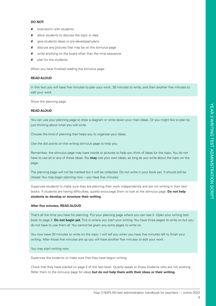#### **DO NOT:**

- **x** brainstorm with students
- $x$  allow students to discuss the topic or idea
- **x** give students ideas or pre-developed plans
- **X** discuss any pictures that may be on the stimulus page
- **x** write anything on the board other than the time sequence
- $x$  plan for the students.

When you have finished reading the stimulus page:

#### **READ ALOUD**

In this test you will have five minutes to plan your work, 30 minutes to write, and then another five minutes to edit your work.

Show the planning page.

#### **READ ALOUD**

You can use your planning page to draw a diagram or write down your main ideas. Or you might like to plan by just thinking about what you will write.

Choose the kind of planning that helps you to organise your ideas.

Use the dot points on the writing stimulus page to help you.

Remember, the stimulus page may have words or pictures to help you think of ideas for the topic. You do not have to use all or any of these ideas. You **may** use your own ideas, as long as you write about the topic on the page.

The planning page will not be marked but it will be collected. Do not write in your book yet. It should still be closed. You may begin planning now – you have five minutes.

Supervise students to make sure they are planning their work independently and are not writing in their test books. If students are having difficulties, quietly encourage them to look at the stimulus page. **Do not help students to develop or structure their writing.**

#### **After five minutes, READ ALOUD**

That's all the time you have for planning. Put your planning page where you can see it. Open your writing test book to page 2. **Do not begin yet.** This is where you start your writing. You have three pages to write on but you do not have to use them all. You cannot be given any extra pages to write on.

You now have 30 minutes to write on the topic. I will tell you when you have five minutes left to finish your writing. After those five minutes are up you will have another five minutes to edit your work.

You may start writing now.

Supervise the students to make sure that they have begun writing.

Check that they have started on page 2 of the test book. Quietly speak to those students who are not working. Refer them to the stimulus page for ideas **but do not help them with their ideas or their writing.**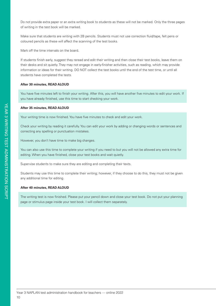Do not provide extra paper or an extra writing book to students as these will not be marked. Only the three pages of writing in the test book will be marked.

Make sure that students are writing with 2B pencils. Students must not use correction fluid/tape, felt pens or coloured pencils as these will affect the scanning of the test books.

Mark off the time intervals on the board.

If students finish early, suggest they reread and edit their writing and then close their test books, leave them on their desks and sit quietly. They may not engage in early-finisher activities, such as reading, which may provide information or ideas for their writing. DO NOT collect the test books until the end of the test time, or until all students have completed the tests.

#### **After 30 minutes, READ ALOUD**

You have five minutes left to finish your writing. After this, you will have another five minutes to edit your work. If you have already finished, use this time to start checking your work.

#### **After 35 minutes, READ ALOUD**

Your writing time is now finished. You have five minutes to check and edit your work.

Check your writing by reading it carefully. You can edit your work by adding or changing words or sentences and correcting any spelling or punctuation mistakes.

However, you don't have time to make big changes.

You can also use this time to complete your writing if you need to but you will not be allowed any extra time for editing. When you have finished, close your test books and wait quietly.

Supervise students to make sure they are editing and completing their texts.

Students may use this time to complete their writing; however, if they choose to do this, they must not be given any additional time for editing.

#### **After 40 minutes, READ ALOUD**

The writing test is now finished. Please put your pencil down and close your test book. Do not put your planning page or stimulus page inside your test book. I will collect them separately.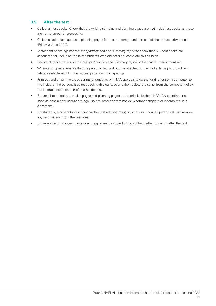#### **3.5 After the test**

- Collect all test books. Check that the writing stimulus and planning pages are **not** inside test books as these are not returned for processing.
- Collect all stimulus pages and planning pages for secure storage until the end of the test security period (Friday, 3 June 2022).
- Match test books against the *Test participation and summary report* to check that ALL test books are accounted for, including those for students who did not sit or complete this session.
- Record absence details on the *Test participation and summary report* or the master assessment roll.
- Where appropriate, ensure that the personalised test book is attached to the braille, large print, black and white, or electronic PDF format test papers with a paperclip.
- Print out and attach the typed scripts of students with TAA approval to do the writing test on a computer to the inside of the personalised test book with clear tape and then delete the script from the computer (follow the instructions on page 5 of this handbook).
- Return all test books, stimulus pages and planning pages to the principal/school NAPLAN coordinator as soon as possible for secure storage. Do not leave any test books, whether complete or incomplete, in a classroom.
- No students, teachers (unless they are the test administrator) or other unauthorised persons should remove any test material from the test area.
- Under no circumstances may student responses be copied or transcribed, either during or after the test.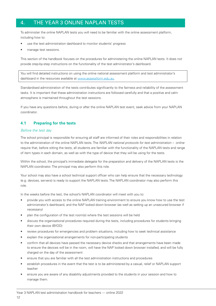# 4. THE YEAR 3 ONLINE NAPLAN TESTS

To administer the online NAPLAN tests you will need to be familiar with the online assessment platform, including how to:

- use the test administration dashboard to monitor students' progress
- manage test sessions.

This section of the handbook focuses on the procedures for administering the online NAPLAN tests. It does not provide step-by-step instructions on the functionality of the test administrator's dashboard.

You will find detailed instructions on using the online national assessment platform and test administrator's dashboard in the resources available at www.assessform.edu.au.

Standardised administration of the tests contributes significantly to the fairness and reliability of the assessment tasks. It is important that these administration instructions are followed carefully and that a positive and calm atmosphere is maintained throughout the test sessions.

If you have any questions before, during or after the online NAPLAN test event, seek advice from your NAPLAN coordinator.

#### **4.1 Preparing for the tests**

#### *Before the test day*

The school principal is responsible for ensuring all staff are informed of their roles and responsibilities in relation to the administration of the online NAPLAN tests. The *NAPLAN national protocols for test administration – online*  require that, before sitting the tests, all students are familiar with the functionality of the NAPLAN tests and range of item types in each domain, as well as with the type of device that they will be using for the tests.

Within the school, the principal's immediate delegate for the preparation and delivery of the NAPLAN tests is the NAPLAN coordinator. The principal may also perform this role.

Your school may also have a school technical support officer who can help ensure that the necessary technology (e.g. devices, servers) is ready to support the NAPLAN tests. The NAPLAN coordinator may also perform this role.

In the weeks before the test, the school's NAPLAN coordinator will meet with you to:

- provide you with access to the online NAPLAN training environment to ensure you know how to use the test administrator's dashboard, and the NAP locked down browser (as well as setting up an unsecured browser if necessary)
- plan the configuration of the test room(s) where the test sessions will be held
- discuss the organisational procedures required during the tests, including procedures for students bringing their own device (BYOD)
- review procedures for emergencies and problem situations, including how to seek technical assistance
- explain the organisational arrangements for non-participating students
- confirm that all devices have passed the necessary device checks and that arrangements have been made to ensure the devices will be in the room, will have the NAP locked down browser installed, and will be fully charged on the day of the assessment
- ensure that you are familiar with all the test administration instructions and procedures
- establish procedures in the event that the test is to be administered by a casual, relief or NAPLAN support teacher
- ensure you are aware of any disability adjustments provided to the students in your session and how to manage them.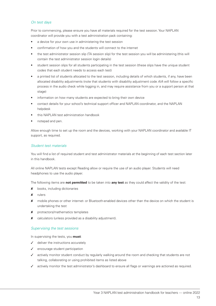#### *On test days*

Prior to commencing, please ensure you have all materials required for the test session. Your NAPLAN coordinator will provide you with a test administration pack containing:

- a device for your own use in administering the test session
- confirmation of how you and the students will connect to the internet
- the test administrator session slip (TA session slip) for the test session you will be administering (this will contain the test administrator session login details)
- student session slips for all students participating in the test session (these slips have the unique student codes that each student needs to access each test)
- a printed list of students allocated to the test session, including details of which students, if any, have been allocated disability adjustments (note that students with disability adjustment code *AIA* will follow a specific process in the audio check while logging in, and may require assistance from you or a support person at that stage)
- information on how many students are expected to bring their own device
- contact details for your school's technical support officer and NAPLAN coordinator, and the NAPLAN helpdesk
- this NAPLAN test administration handbook
- notepad and pen.

Allow enough time to set up the room and the devices, working with your NAPLAN coordinator and available IT support, as required.

#### *Student test materials*

You will find a list of required student and test administrator materials at the beginning of each test section later in this handbook.

All online NAPLAN tests except Reading allow or require the use of an audio player. Students will need headphones to use the audio player.

The following items are **not permitted** to be taken into **any test** as they could affect the validity of the test:

- 8 books, including dictionaries
- 8 rulers
- 8 mobile phones or other internet- or Bluetooth-enabled devices other than the device on which the student is undertaking the test
- **x** protractors/mathematics templates
- $x$  calculators (unless provided as a disability adjustment).

#### *Supervising the test sessions*

In supervising the tests, you **must**:

- $\checkmark$  deliver the instructions accurately
- encourage student participation
- actively monitor student conduct by regularly walking around the room and checking that students are not talking, collaborating or using prohibited items as listed above
- actively monitor the test administrator's dashboard to ensure all flags or warnings are actioned as required.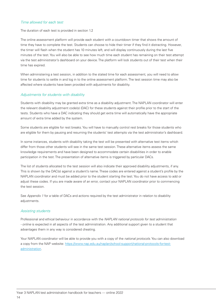#### *Time allowed for each test*

The duration of each test is provided in section 1.2

The online assessment platform will provide each student with a countdown timer that shows the amount of time they have to complete the test. Students can choose to hide their timer if they find it distracting. However, the timer will flash when the student has 10 minutes left, and will display continuously during the last five minutes of the test. You will also be able to see how much time each student has remaining on their test attempt via the test administrator's dashboard on your device. The platform will lock students out of their test when their time has expired.

When administering a test session, in addition to the stated time for each assessment, you will need to allow time for students to settle in and log in to the online assessment platform. The test session time may also be affected where students have been provided with adjustments for disability.

#### *Adjustments for students with disability*

Students with disability may be granted extra time as a disability adjustment. The NAPLAN coordinator will enter the relevant disability adjustment code(s) (DAC) for these students against their profile prior to the start of the tests. Students who have a DAC indicating they should get extra time will automatically have the appropriate amount of extra time added by the system.

Some students are eligible for rest breaks. You will have to manually control rest breaks for those students who are eligible for them by pausing and resuming the students' test attempts via the test administrator's dashboard.

In some instances, students with disability taking the test will be presented with alternative test items which differ from those other students will see in the same test session. These alternative items assess the same knowledge requirements and have been designed to accommodate certain disabilities in order to enable participation in the test. The presentation of alternative items is triggered by particular DACs.

The list of students allocated to the test session will also indicate their approved disability adjustments, if any. This is shown by the DAC(s) against a student's name. These codes are entered against a student's profile by the NAPLAN coordinator and must be added prior to the student starting the test. You do not have access to add or adjust these codes. If you are made aware of an error, contact your NAPLAN coordinator prior to commencing the test session.

See *Appendix 1* for a table of DACs and actions required by the test administrator in relation to disability adjustments.

#### *Assisting students*

Professional and ethical behaviour in accordance with the *NAPLAN national protocols for test administration - online* is expected in all aspects of the test administration. Any additional support given to a student that advantages them in any way is considered cheating.

Your NAPLAN coordinator will be able to provide you with a copy of the *national protocols*. You can also download a copy from the NAP website: https://www.nap.edu.au/naplan/school-support/national-protocols-for-testadministration.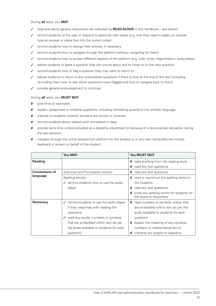During **all** tests, you **MAY**:

- 3 read and clarify general instructions (as indicated by **READ ALOUD** in this handbook see below)
- $\checkmark$  remind students of the way to respond to particular item types (e.g. that they need to select an answer, type an answer or place tiles into the correct order)
- $\checkmark$  remind students how to change their answer, if necessary
- $\checkmark$  remind students how to navigate through the platform (without navigating for them)
- $\checkmark$  remind students how to access different aspects of the platform (e.g. ruler, timer, magnification, audio player)
- $\checkmark$  advise students to leave a question they are unsure about and to move on to the next question
- $\checkmark$  remind students how to flag a question they may want to return to
- $\checkmark$  advise students to return to any unanswered questions if there is time at the end of the test (including reminding them how to see which questions were flagged and how to navigate back to them)
- $\checkmark$  provide general encouragement to continue.

#### During **all** tests, you **MUST NOT**:

- **x** give hints or examples
- 8 explain, paraphrase or interpret questions, including translating questions into another language
- **X** indicate to students whether answers are correct or incorrect
- **X** remind students about related work completed in class
- 8 provide extra time (unless provided as a disability adjustment or because of a documented disruption during the test session)
- 8 navigate through the online assessment platform for the student or in any way manipulate the mouse, keyboard or screen on behalf of the student.

|                       | You MAY:                                            | You MUST NOT:                                                         |
|-----------------------|-----------------------------------------------------|-----------------------------------------------------------------------|
| <b>Reading</b>        |                                                     | $\boldsymbol{\mathsf{X}}$ read anything from the reading texts        |
|                       |                                                     | $x$ read any test questions                                           |
| <b>Conventions of</b> | Grammar and Punctuation section                     | $x$ read any test questions                                           |
| language              | Spelling section                                    | <b>X</b> read or sound out the spelling items to                      |
|                       | $\sqrt{\ }$ remind students how to use the audio    | the students                                                          |
|                       | player                                              | $x$ read any test questions                                           |
|                       |                                                     | X write any spelling words for students on<br>the board or elsewhere. |
| <b>Numeracy</b>       | $\sqrt{\ }$ remind students to use the audio player | <b>x</b> read numbers or symbols unless they                          |
|                       | if they need help with reading the                  | are embedded within text (as per the                                  |
|                       | questions                                           | audio available to students for each                                  |
|                       | ✓ read any words, numbers or symbols                | question)                                                             |
|                       | that are embedded within text (as per               | $x$ explain the meaning of any symbols,                               |
|                       | the audio available to students for each            | numbers or mathematical terms                                         |
|                       | question).                                          | $x$ interpret any graphs or diagrams.                                 |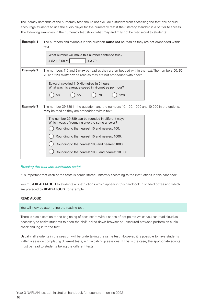The literacy demands of the numeracy test should not exclude a student from accessing the test. You should encourage students to use the audio player for the numeracy test if their literacy standard is a barrier to access. The following examples in the numeracy test show what may and may not be read aloud to students:

| <b>Example 1</b> | The numbers and symbols in this question <b>must not</b> be read as they are not embedded within<br>text.<br>What number will make this number sentence true?<br>$4.52 + 3.68 =$<br>$+3.70$                                                                                                                                                                                                                                                                    |  |  |  |
|------------------|----------------------------------------------------------------------------------------------------------------------------------------------------------------------------------------------------------------------------------------------------------------------------------------------------------------------------------------------------------------------------------------------------------------------------------------------------------------|--|--|--|
| <b>Example 2</b> | The numbers 110 and 2 <b>may</b> be read as they are embedded within the text. The numbers 50, 55,<br>70 and 220 <b>must not</b> be read as they are not embedded within text.<br>Edward travelled 110 kilometres in 2 hours.<br>What was his average speed in kilometres per hour?<br>50<br>55<br>220<br>70                                                                                                                                                   |  |  |  |
| <b>Example 3</b> | The number 39 889 in the question, and the numbers 10, 100, 1000 and 10 000 in the options,<br><b>may</b> be read as they are embedded within text.<br>The number 39 889 can be rounded in different ways.<br>Which ways of rounding give the same answer?<br>Rounding to the nearest 10 and nearest 100.<br>Rounding to the nearest 10 and nearest 1000.<br>Rounding to the nearest 100 and nearest 1000.<br>Rounding to the nearest 1000 and nearest 10 000. |  |  |  |

#### *Reading the test administration script*

It is important that each of the tests is administered uniformly according to the instructions in this handbook.

You must **READ ALOUD** to students all instructions which appear in this handbook in shaded boxes and which are prefaced by **READ ALOUD**, for example:

#### **READ ALOUD**

You will now be attempting the reading test.

There is also a section at the beginning of each script with a series of dot points which you can read aloud as necessary to assist students to open the NAP locked down browser or unsecured browser, perform an audio check and log in to the test.

Usually, all students in the session will be undertaking the same test. However, it is possible to have students within a session completing different tests, e.g. in catch-up sessions. If this is the case, the appropriate scripts must be read to students taking the different tests.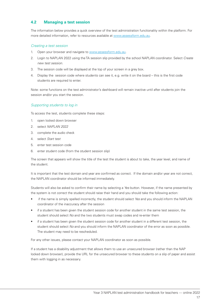#### **4.2 Managing a test session**

The information below provides a quick overview of the test administration functionality within the platform. For more detailed information, refer to resources available at www.assessform.edu.au.

#### *Creating a test session*

- 1. Open your browser and navigate to www.assessform.edu.au.
- 2. Login to NAPLAN 2022 using the TA session slip provided by the school NAPLAN coordinator. Select *Create new test session*.
- 3. The session code will be displayed at the top of your screen in a grey box.
- 4. Display the session code where students can see it, e.g. write it on the board this is the first code students are required to enter.

Note: some functions on the test administrator's dashboard will remain inactive until after students join the session and/or you start the session.

#### *Supporting students to log in*

To access the test, students complete these steps:

- 1. open locked down browser
- 2. select *NAPLAN 2022*
- 3. complete the audio check
- 4. select *Start test*
- 5. enter test session code
- 6. enter student code (from the student session slip)

The screen that appears will show the title of the test the student is about to take, the year level, and name of the student.

It is important that the test domain and year are confirmed as correct. If the domain and/or year are not correct, the NAPLAN coordinator should be informed immediately.

Students will also be asked to confirm their name by selecting a *Yes* button. However, if the name presented by the system is not correct the student should raise their hand and you should take the following action:

- if the name is simply spelled incorrectly, the student should select *Yes* and you should inform the NAPLAN coordinator of the inaccuracy after the session
- if a student has been given the student session code for another student in the same test session, the student should select *No* and the two students must swap codes and re-enter them
- if a student has been given the student session code for another student in a different test session, the student should select *No* and you should inform the NAPLAN coordinator of the error as soon as possible. The student may need to be rescheduled.

For any other issues, please contact your NAPLAN coordinator as soon as possible.

If a student has a disability adjustment that allows them to use an unsecured browser (rather than the NAP locked down browser), provide the URL for the unsecured browser to these students on a slip of paper and assist them with logging in as necessary.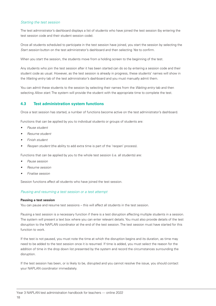#### *Starting the test session*

The test administrator's dashboard displays a list of students who have joined the test session (by entering the test session code and their student session code).

Once all students scheduled to participate in the test session have joined, you start the session by selecting the *Start session* button on the test administrator's dashboard and then selecting *Yes* to confirm.

When you start the session, the students move from a holding screen to the beginning of the test.

Any students who join the test session after it has been started can do so by entering a session code and their student code as usual. However, as the test session is already in progress, these students' names will show in the *Waiting entry* tab of the test administrator's dashboard and you must manually admit them.

You can admit these students to the session by selecting their names from the *Waiting entry* tab and then selecting *Allow start*. The system will provide the student with the appropriate time to complete the test.

#### **4.3 Test administration system functions**

Once a test session has started, a number of functions become active on the test administrator's dashboard.

Functions that can be applied by you to individual students or groups of students are:

- *• Pause student*
- *• Resume student*
- *• Finish student*
- *• Reopen student* (the ability to add extra time is part of the 'reopen' process).

Functions that can be applied by you to the whole test session (i.e. all students) are:

- *• Pause session*
- *• Resume session*
- *• Finalise session*

Session functions affect all students who have joined the test session.

#### *Pausing and resuming a test session or a test attempt*

#### **Pausing a test session**

You can pause and resume test sessions – this will affect all students in the test session.

Pausing a test session is a necessary function if there is a test disruption affecting multiple students in a session. The system will present a text box where you can enter relevant details. You must also provide details of the test disruption to the NAPLAN coordinator at the end of the test session. The test session must have started for this function to work.

If the test is not paused, you must note the time at which the disruption begins and its duration, as time may need to be added to the test session once it is resumed. If time is added, you must select the reason for the addition of time in the drop down list presented by the system and record the circumstances surrounding the disruption.

If the test session has been, or is likely to be, disrupted and you cannot resolve the issue, you should contact your NAPLAN coordinator immediately.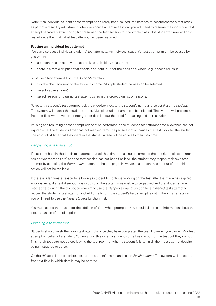Note: if an individual student's test attempt has already been paused (for instance to accommodate a rest break as part of a disability adjustment) when you pause an entire session, you will need to resume their individual test attempt separately **after** having first resumed the test session for the whole class. This student's timer will only restart once their individual test attempt has been resumed.

#### **Pausing an individual test attempt**

You can also pause individual students' test attempts. An individual student's test attempt might be paused by you when:

- a student has an approved rest break as a disability adjustment
- there is a test disruption that affects a student, but not the class as a whole (e.g. a technical issue).

To pause a test attempt from the *All* or *Started* tab:

- tick the checkbox next to the student's name. Multiple student names can be selected
- select *Pause student*
- select reason for pausing test attempt/s from the drop-down list of reasons.

To restart a student's test attempt, tick the checkbox next to the student's name and select *Resume student*. The system will restart the student's timer. Multiple student names can be selected. The system will present a free-text field where you can enter greater detail about the need for pausing and its resolution.

Pausing and resuming a test attempt can only be performed if the student's test attempt time allowance has not expired – i.e. the student's timer has not reached zero. The pause function pauses the test clock for the student. The amount of time that they were in the status *Paused* will be added to their *End* time.

#### *Reopening a test attempt*

If a student has finished their test attempt but still has time remaining to complete the test (i.e. their test timer has not yet reached zero) and the test session has not been finalised, the student may reopen their own test attempt by selecting the *Reopen test* button on the end page. However, if a student has run out of time this option will not be available.

If there is a legitimate reason for allowing a student to continue working on the test after their time has expired – for instance, if a test disruption was such that the system was unable to be paused and the student's timer reached zero during the disruption – you may use the *Reopen student* function for a *Finished* test attempt to reopen the student's test attempt and add time to it. If the student's test attempt is not in the *Finished* status, you will need to use the *Finish student* function first.

You must select the reason for the addition of time when prompted. You should also record information about the circumstances of the disruption.

#### *Finishing a test attempt*

Students should finish their own test attempts once they have completed the test. However, you can *finish* a test attempt on behalf of a student. You might do this when a student's time has run out for the test but they do not finish their test attempt before leaving the test room, or when a student fails to finish their test attempt despite being instructed to do so.

On the *All* tab tick the checkbox next to the student's name and select *Finish student*. The system will present a free-text field in which details may be entered.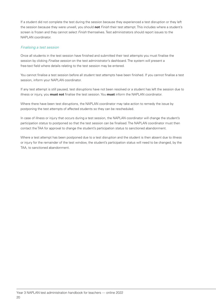If a student did not complete the test during the session because they experienced a test disruption or they left the session because they were unwell, you should **not** *Finish* their test attempt. This includes where a student's screen is frozen and they cannot select *Finish* themselves. Test administrators should report issues to the NAPLAN coordinator.

#### *Finalising a test session*

Once all students in the test session have finished and submitted their test attempts you must finalise the session by clicking *Finalise session* on the test administrator's dashboard. The system will present a free-text field where details relating to the test session may be entered.

You cannot finalise a test session before all student test attempts have been finished. If you cannot finalise a test session, inform your NAPLAN coordinator.

If any test attempt is still paused, test disruptions have not been resolved or a student has left the session due to illness or injury, you **must not** finalise the test session. You **must** inform the NAPLAN coordinator.

Where there have been test disruptions, the NAPLAN coordinator may take action to remedy the issue by postponing the test attempts of affected students so they can be rescheduled.

In case of illness or injury that occurs during a test session, the NAPLAN coordinator will change the student's participation status to postponed so that the test session can be finalised. The NAPLAN coordinator must then contact the TAA for approval to change the student's participation status to sanctioned abandonment.

Where a test attempt has been postponed due to a test disruption and the student is then absent due to illness or injury for the remainder of the test window, the student's participation status will need to be changed, by the TAA, to sanctioned abandonment.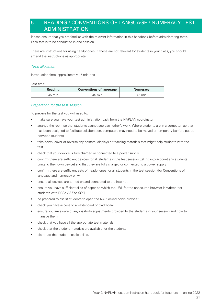# 5. READING / CONVENTIONS OF LANGUAGE / NUMERACY TEST ADMINISTRATION

Please ensure that you are familiar with the relevant information in this handbook before administering tests. Each test is to be conducted in one session.

There are instructions for using headphones. If these are not relevant for students in your class, you should amend the instructions as appropriate.

#### *Time allocation*

Introduction time: approximately 15 minutes

Test time:

| <b>Reading</b> | <b>Conventions of language</b> | <b>Numeracy</b> |
|----------------|--------------------------------|-----------------|
| 45 min         | $45 \text{ min}$               | 45 min          |

#### *Preparation for the test session*

To prepare for the test you will need to:

- make sure you have your test administration pack from the NAPLAN coordinator
- arrange the room so that students cannot see each other's work. Where students are in a computer lab that has been designed to facilitate collaboration, computers may need to be moved or temporary barriers put up between students
- take down, cover or reverse any posters, displays or teaching materials that might help students with the test
- check that your device is fully charged or connected to a power supply
- confirm there are sufficient devices for all students in the test session (taking into account any students bringing their own device) and that they are fully charged or connected to a power supply
- confirm there are sufficient sets of headphones for all students in the test session (for Conventions of language and numeracy only)
- ensure all devices are turned on and connected to the internet
- ensure you have sufficient slips of paper on which the URL for the unsecured browser is written (for students with DACs *AST* or *COL*)
- be prepared to assist students to open the NAP locked down browser
- check you have access to a whiteboard or blackboard
- ensure you are aware of any disability adjustments provided to the students in your session and how to manage them
- check that you have all the appropriate test materials
- check that the student materials are available for the students
- distribute the student session slips.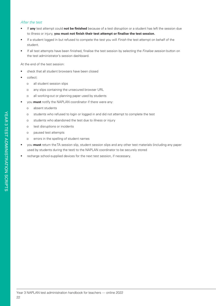#### *After the test*

- If **any** test attempt could **not be finished** because of a test disruption or a student has left the session due to illness or injury, **you must not finish their test attempt or finalise the test session.**
- If a student logged in but refused to compete the test you will *Finish* the test attempt on behalf of the student.
- If all test attempts have been finished, finalise the test session by selecting the *Finalise session* button on the test administrator's session dashboard.

At the end of the test session:

- check that all student browsers have been closed
- collect:
	- o all student session slips
	- o any slips containing the unsecured browser URL
	- o all working-out or planning paper used by students
- you **must** notify the NAPLAN coordinator if there were any:
	- o absent students
	- o students who refused to login or logged in and did not attempt to complete the test
	- o students who abandoned the test due to illness or injury
	- o test disruptions or incidents
	- o paused test attempts
	- o errors in the spelling of student names
- you **must** return the TA session slip, student session slips and any other test materials (including any paper used by students during the test) to the NAPLAN coordinator to be securely stored
- recharge school-supplied devices for the next test session, if necessary.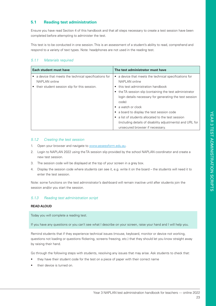#### **5.1 Reading test administration**

Ensure you have read Section 4 of this handbook and that all steps necessary to create a test session have been completed before attempting to administer the test.

This test is to be conducted in one session. This is an assessment of a student's ability to read, comprehend and respond to a variety of text types. Note: headphones are not used in the reading test.

#### *5.1.1 Materials required*

| Each student must have                               | The test administrator must have                          |
|------------------------------------------------------|-----------------------------------------------------------|
| a device that meets the technical specifications for | a device that meets the technical specifications for      |
| NAPLAN online                                        | NAPLAN online                                             |
| their student session slip for this session.         | this test administration handbook                         |
|                                                      | the TA session slip (containing the test administrator    |
|                                                      | login details necessary for generating the test session   |
|                                                      | code)                                                     |
|                                                      | a watch or clock                                          |
|                                                      | a board to display the test session code                  |
|                                                      | a list of students allocated to the test session          |
|                                                      | (including details of disability adjustments) and URL for |
|                                                      | unsecured browser if necessary.                           |

#### *5.1.2 Creating the test session*

- 1. Open your browser and navigate to www.assessform.edu.au.
- 2. Login to NAPLAN 2022 using the TA session slip provided by the school NAPLAN coordinator and create a new test session.
- 3. The session code will be displayed at the top of your screen in a grey box.
- 4. Display the session code where students can see it, e.g. write it on the board the students will need it to enter the test session.

Note: some functions on the test administrator's dashboard will remain inactive until after students join the session and/or you start the session.

#### *5.1.3 Reading test administration script*

#### **READ ALOUD**

Today you will complete a reading test.

If you have any questions or you can't see what I describe on your screen, raise your hand and I will help you.

Remind students that if they experience technical issues (mouse, keyboard, monitor or device not working, questions not loading or questions flickering, screens freezing, etc.) that they should let you know straight away by raising their hand.

Go through the following steps with students, resolving any issues that may arise. Ask students to check that:

- they have their student code for the test on a piece of paper with their correct name
- their device is turned on.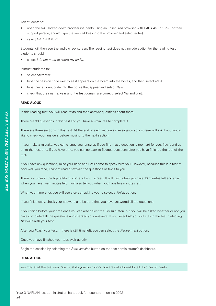Ask students to:

- open the NAP locked down browser (students using an unsecured browser with DACs *AST* or *COL*, or their support person, should type the web address into the browser and select enter)
- select *NAPLAN 2022.*

Students will then see the audio check screen. The reading test does not include audio. For the reading test, students should:

• select *I do not need to check my audio.*

Instruct students to:

- select *Start test*
- type the session code exactly as it appears on the board into the boxes, and then select *Next*
- type their student code into the boxes that appear and select *Next*
- check that their name, year and the test domain are correct, select *Yes* and wait.

#### **READ ALOUD**

In this reading test, you will read texts and then answer questions about them.

There are 39 questions in this test and you have 45 minutes to complete it.

There are three sections in this test. At the end of each section a message on your screen will ask if you would like to check your answers before moving to the next section.

If you make a mistake, you can change your answer. If you find that a question is too hard for you, flag it and go on to the next one. If you have time, you can go back to flagged questions after you have finished the rest of the test.

If you have any questions, raise your hand and I will come to speak with you. However, because this is a test of how well you read, I cannot read or explain the questions or texts to you.

There is a timer in the top left-hand corner of your screen. It will flash when you have 10 minutes left and again when you have five minutes left. I will also tell you when you have five minutes left.

When your time ends you will see a screen asking you to select a *Finish* button.

If you finish early, check your answers and be sure that you have answered all the questions.

If you finish before your time ends you can also select the *Finish* button, but you will be asked whether or not you have completed all the questions and checked your answers. If you select *No* you will stay in the test. Selecting *Yes* will finish your test.

After you *Finish* your test, if there is still time left, you can select the *Reopen test* button.

Once you have finished your test, wait quietly.

Begin the session by selecting the *Start session* button on the test administrator's dashboard.

#### **READ ALOUD**

You may start the test now. You must do your own work. You are not allowed to talk to other students.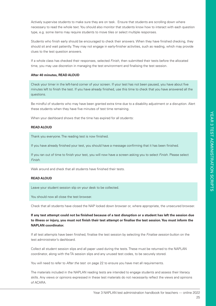Actively supervise students to make sure they are on task. Ensure that students are scrolling down where necessary to read the whole text. You should also monitor that students know how to interact with each question type, e.g. some items may require students to move tiles or select multiple responses.

Students who finish early should be encouraged to check their answers. When they have finished checking, they should sit and wait patiently. They may not engage in early-finisher activities, such as reading, which may provide clues to the test question answers.

If a whole class has checked their responses, selected *Finish*, then submitted their tests before the allocated time, you may use discretion in managing the test environment and finalising the test session.

#### **After 40 minutes, READ ALOUD**

Check your timer in the left-hand corner of your screen. If your test has not been paused, you have about five minutes left to finish the test. If you have already finished, use this time to check that you have answered all the questions.

Be mindful of students who may have been granted extra time due to a disability adjustment or a disruption. Alert these students when they have five minutes of test time remaining.

When your dashboard shows that the time has expired for all students:

#### **READ ALOUD**

Thank you everyone. The reading test is now finished.

If you have already finished your test, you should have a message confirming that it has been finished.

If you ran out of time to finish your test, you will now have a screen asking you to select *Finish*. Please select *Finish*.

Walk around and check that all students have finished their tests.

#### **READ ALOUD**

Leave your student session slip on your desk to be collected.

You should now all close the test browser.

Check that all students have closed the NAP locked down browser or, where appropriate, the unsecured browser.

**If any test attempt could not be finished because of a test disruption or a student has left the session due to illness or injury, you must not finish their test attempt or finalise the test session. You must inform the NAPLAN coordinator.**

If all test attempts have been finished, finalise the test session by selecting the *Finalise session* button on the test administrator's dashboard.

Collect all student session slips and all paper used during the tests. These must be returned to the NAPLAN coordinator, along with the TA session slips and any unused test codes, to be securely stored.

You will need to refer to *After the test* on page 22 to ensure you have met all requirements.

The materials included in the NAPLAN reading tests are intended to engage students and assess their literacy skills. Any views or opinions expressed in these test materials do not necessarily reflect the views and opinions of ACARA.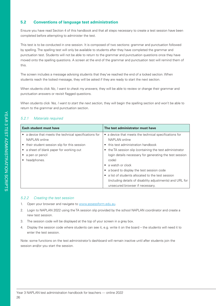#### **5.2 Conventions of language test administration**

Ensure you have read Section 4 of this handbook and that all steps necessary to create a test session have been completed before attempting to administer the test.

This test is to be conducted in one session. It is composed of two sections: grammar and punctuation followed by spelling. The spelling test will only be available to students after they have completed the grammar and punctuation test. Students will not be able to return to the grammar and punctuation questions once they have moved onto the spelling questions. A screen at the end of the grammar and punctuation test will remind them of this.

The screen includes a message advising students that they've reached the end of a locked section. When students reach the locked message, they will be asked if they are ready to start the next section.

When students click *No, I want to check my answers*, they will be able to review or change their grammar and punctuation answers or revisit flagged questions.

When students click *Yes, I want to start the next section*, they will begin the spelling section and won't be able to return to the grammar and punctuation section.

#### *5.2.1 Materials required*

| Each student must have                               | The test administrator must have                                  |  |  |  |
|------------------------------------------------------|-------------------------------------------------------------------|--|--|--|
| a device that meets the technical specifications for | a device that meets the technical specifications for<br>$\bullet$ |  |  |  |
| NAPLAN online                                        | NAPLAN online                                                     |  |  |  |
| their student session slip for this session          | • this test administration handbook                               |  |  |  |
| a sheet of blank paper for working out               | the TA session slip (containing the test administrator<br>٠       |  |  |  |
| a pen or pencil                                      | login details necessary for generating the test session           |  |  |  |
| headphones.                                          | code)                                                             |  |  |  |
|                                                      | • a watch or clock                                                |  |  |  |
|                                                      | • a board to display the test session code                        |  |  |  |
|                                                      | a list of students allocated to the test session                  |  |  |  |
|                                                      | (including details of disability adjustments) and URL for         |  |  |  |
|                                                      | unsecured browser if necessary.                                   |  |  |  |

#### *5.2.2 Creating the test session*

- 1. Open your browser and navigate to www.assessform.edu.au.
- 2. Login to NAPLAN 2022 using the TA session slip provided by the school NAPLAN coordinator and create a new test session.
- 3. The session code will be displayed at the top of your screen in a grey box.
- 4. Display the session code where students can see it, e.g. write it on the board the students will need it to enter the test session.

Note: some functions on the test administrator's dashboard will remain inactive until after students join the session and/or you start the session.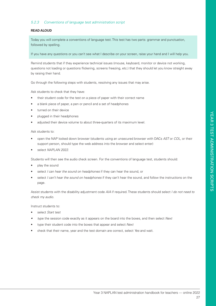#### *5.2.3 Conventions of language test administration script*

#### **READ ALOUD**

Today you will complete a conventions of language test. This test has two parts: grammar and punctuation, followed by spelling.

If you have any questions or you can't see what I describe on your screen, raise your hand and I will help you.

Remind students that if they experience technical issues (mouse, keyboard, monitor or device not working, questions not loading or questions flickering, screens freezing, etc.) that they should let you know straight away by raising their hand.

Go through the following steps with students, resolving any issues that may arise.

Ask students to check that they have:

- their student code for the test on a piece of paper with their correct name
- a blank piece of paper, a pen or pencil and a set of headphones
- turned on their device
- plugged in their headphones
- adjusted their device volume to about three-quarters of its maximum level.

Ask students to:

- open the NAP locked down browser (students using an unsecured browser with DACs *AST* or *COL*, or their support person, should type the web address into the browser and select enter)
- select *NAPLAN 2022*.

Students will then see the audio check screen. For the conventions of language test, students should:

- play the sound
- select *I can hear the sound on headphones* if they can hear the sound, or
- select *I can't hear the sound on headphones* if they can't hear the sound, and follow the instructions on the page.

Assist students with the disability adjustment code *AIA* if required. These students should select *I do not need to check my audio.*

Instruct students to:

- select *Start test*
- *• t*ype the session code exactly as it appears on the board into the boxes, and then select *Next*
- type their student code into the boxes that appear and select *Next*
- check that their name, year and the test domain are correct, select *Yes* and wait.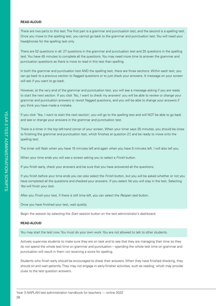#### **READ ALOUD**

There are two parts to this test. The first part is a grammar and punctuation test, and the second is a spelling test. Once you move to the spelling test, you cannot go back to the grammar and punctuation test. You will need your headphones for the spelling test only.

There are 52 questions in all: 27 questions in the grammar and punctuation test and 25 questions in the spelling test. You have 45 minutes to complete all the questions. You may need more time to answer the grammar and punctuation questions as there is more to read in this test than spelling.

In both the grammar and punctuation test AND the spelling test, there are three sections. Within each test, you can go back to a previous section to flagged questions or to just check your answers. A message on your screen will ask if you want to go back.

However, at the very end of the grammar and punctuation test, you will see a message asking if you are ready to start the next section. If you click 'No, I want to check my answers' you will be able to review or change your grammar and punctuation answers or revisit flagged questions, and you will be able to change your answers if you think you have made a mistake.

If you click 'Yes, I want to start the next section', you will go to the spelling test and will NOT be able to go back and see or change your answers in the grammar and punctuation test.

There is a timer in the top left-hand corner of your screen. When your timer says 25 minutes, you should be close to finishing the grammar and punctuation test, which finishes at question 27, and be ready to move onto the spelling test.

The timer will flash when you have 10 minutes left and again when you have 5 minutes left. I will also tell you.

When your time ends you will see a screen asking you to select a *Finish* button.

If you finish early, check your answers and be sure that you have answered all the questions.

If you finish before your time ends you can also select the *Finish* button, but you will be asked whether or not you have completed all the questions and checked your answers. If you select *No* you will stay in the test. Selecting *Yes* will finish your test.

After you *Finish* your test, if there is still time left, you can select the *Reopen test* button.

Once you have finished your test, wait quietly.

Begin the session by selecting the *Start session* button on the test administrator's dashboard.

#### **READ ALOUD**

You may start the test now. You must do your own work. You are not allowed to talk to other students.

Actively supervise students to make sure they are on task and to see that they are managing their time so they do not spend the whole test time on grammar and punctuation – spending the whole test time on grammar and punctuation will result in them not receiving a score for spelling.

Students who finish early should be encouraged to check their answers. When they have finished checking, they should sit and wait patiently. They may not engage in early-finisher activities, such as reading, which may provide clues to the test question answers.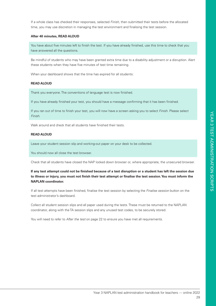If a whole class has checked their responses, selected *Finish*, then submitted their tests before the allocated time, you may use discretion in managing the test environment and finalising the test session.

#### **After 40 minutes, READ ALOUD**

You have about five minutes left to finish the test. If you have already finished, use this time to check that you have answered all the questions.

Be mindful of students who may have been granted extra time due to a disability adjustment or a disruption. Alert these students when they have five minutes of test time remaining.

When your dashboard shows that the time has expired for all students:

#### **READ ALOUD**

Thank you everyone. The conventions of language test is now finished.

If you have already finished your test, you should have a message confirming that it has been finished.

If you ran out of time to finish your test, you will now have a screen asking you to select *Finish*. Please select *Finish*.

Walk around and check that all students have finished their tests.

#### **READ ALOUD**

Leave your student session slip and working-out paper on your desk to be collected.

You should now all close the test browser.

Check that all students have closed the NAP locked down browser or, where appropriate, the unsecured browser.

#### **If any test attempt could not be finished because of a test disruption or a student has left the session due to illness or injury, you must not finish their test attempt or finalise the test session. You must inform the NAPLAN coordinator.**

If all test attempts have been finished, finalise the test session by selecting the *Finalise session* button on the test administrator's dashboard.

Collect all student session slips and all paper used during the tests. These must be returned to the NAPLAN coordinator, along with the TA session slips and any unused test codes, to be securely stored.

You will need to refer to *After the test* on page 22 to ensure you have met all requirements.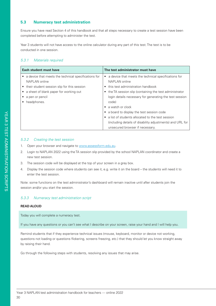#### **5.3 Numeracy test administration**

Ensure you have read Section 4 of this handbook and that all steps necessary to create a test session have been completed before attempting to administer the test.

Year 3 students will not have access to the online calculator during any part of this test. The test is to be conducted in one session.

#### *5.3.1 Materials required*

| <b>Each student must have</b>                          | The test administrator must have                          |
|--------------------------------------------------------|-----------------------------------------------------------|
| • a device that meets the technical specifications for | a device that meets the technical specifications for<br>٠ |
| NAPLAN online                                          | NAPLAN online                                             |
| • their student session slip for this session          | • this test administration handbook                       |
| • a sheet of blank paper for working out               | • the TA session slip (containing the test administrator  |
| a pen or pencil                                        | login details necessary for generating the test session   |
| headphones.                                            | code)                                                     |
|                                                        | $\bullet$ a watch or clock                                |
|                                                        | a board to display the test session code                  |
|                                                        | a list of students allocated to the test session          |
|                                                        | (including details of disability adjustments) and URL for |
|                                                        | unsecured browser if necessary.                           |

#### *5.3.2 Creating the test session*

- 1. Open your browser and navigate to www.assessform.edu.au.
- 2. Login to NAPLAN 2022 using the TA session slip provided by the school NAPLAN coordinator and create a new test session.
- 3. The session code will be displayed at the top of your screen in a grey box.
- 4. Display the session code where students can see it, e.g. write it on the board the students will need it to enter the test session.

Note: some functions on the test administrator's dashboard will remain inactive until after students join the session and/or you start the session.

#### *5.3.3 Numeracy test administration script*

#### **READ ALOUD**

Today you will complete a numeracy test.

If you have any questions or you can't see what I describe on your screen, raise your hand and I will help you.

Remind students that if they experience technical issues (mouse, keyboard, monitor or device not working, questions not loading or questions flickering, screens freezing, etc.) that they should let you know straight away by raising their hand.

Go through the following steps with students, resolving any issues that may arise.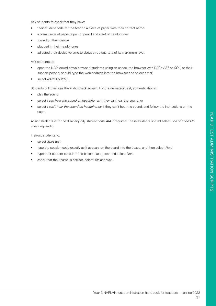Ask students to check that they have:

- their student code for the test on a piece of paper with their correct name
- a blank piece of paper, a pen or pencil and a set of headphones
- turned on their device
- plugged in their headphones
- adjusted their device volume to about three-quarters of its maximum level.

#### Ask students to:

- open the NAP locked down browser (students using an unsecured browser with DACs *AST* or *COL*, or their support person, should type the web address into the browser and select enter)
- select *NAPLAN 2022*.

Students will then see the audio check screen. For the numeracy test, students should:

- play the sound
- select *I can hear the sound on headphones* if they can hear the sound, or
- select *I can't hear the sound on headphones* if they can't hear the sound, and follow the instructions on the page.

Assist students with the disability adjustment code *AIA* if required. These students should select *I do not need to check my audio.*

Instruct students to:

- select *Start test*
- type the session code exactly as it appears on the board into the boxes, and then select *Next*
- type their student code into the boxes that appear and select *Next*
- check that their name is correct, select *Yes* and wait.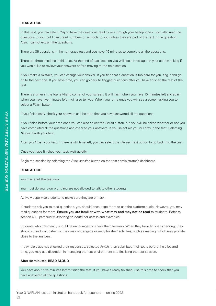#### **READ ALOUD**

In this test, you can select *Play* to have the questions read to you through your headphones. I can also read the questions to you, but I can't read numbers or symbols to you unless they are part of the text in the question. Also, I cannot explain the questions.

There are 36 questions in the numeracy test and you have 45 minutes to complete all the questions.

There are three sections in this test. At the end of each section you will see a message on your screen asking if you would like to review your answers before moving to the next section.

If you make a mistake, you can change your answer. If you find that a question is too hard for you, flag it and go on to the next one. If you have time, you can go back to flagged questions after you have finished the rest of the test.

There is a timer in the top left-hand corner of your screen. It will flash when you have 10 minutes left and again when you have five minutes left. I will also tell you. When your time ends you will see a screen asking you to select a *Finish* button.

If you finish early, check your answers and be sure that you have answered all the questions.

If you finish before your time ends you can also select the *Finish* button, but you will be asked whether or not you have completed all the questions and checked your answers. If you select *No* you will stay in the test. Selecting *Yes* will finish your test.

After you *Finish* your test, if there is still time left, you can select the *Reopen test* button to go back into the test.

Once you have finished your test, wait quietly.

Begin the session by selecting the *Start session* button on the test administrator's dashboard.

#### **READ ALOUD**

You may start the test now.

You must do your own work. You are not allowed to talk to other students.

Actively supervise students to make sure they are on task.

If students ask you to read questions, you should encourage them to use the platform audio. However, you may read questions for them. **Ensure you are familiar with what may and may not be read** to students. Refer to section 4.1, particularly *Assisting students*, for details and examples.

Students who finish early should be encouraged to check their answers. When they have finished checking, they should sit and wait patiently. They may not engage in 'early finisher' activities, such as reading, which may provide clues to the answers.

If a whole class has checked their responses, selected *Finish*, then submitted their tests before the allocated time, you may use discretion in managing the test environment and finalising the test session.

#### **After 40 minutes, READ ALOUD**

You have about five minutes left to finish the test. If you have already finished, use this time to check that you have answered all the questions.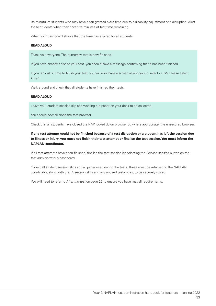Be mindful of students who may have been granted extra time due to a disability adjustment or a disruption. Alert these students when they have five minutes of test time remaining.

When your dashboard shows that the time has expired for all students:

#### **READ ALOUD**

Thank you everyone. The numeracy test is now finished.

If you have already finished your test, you should have a message confirming that it has been finished.

If you ran out of time to finish your test, you will now have a screen asking you to select *Finish*. Please select *Finish*.

Walk around and check that all students have finished their tests.

#### **READ ALOUD**

Leave your student session slip and working-out paper on your desk to be collected.

You should now all close the test browser.

Check that all students have closed the NAP locked down browser or, where appropriate, the unsecured browser.

#### **If any test attempt could not be finished because of a test disruption or a student has left the session due to illness or injury, you must not finish their test attempt or finalise the test session. You must inform the NAPLAN coordinator.**

If all test attempts have been finished, finalise the test session by selecting the *Finalise session* button on the test administrator's dashboard.

Collect all student session slips and all paper used during the tests. These must be returned to the NAPLAN coordinator, along with the TA session slips and any unused test codes, to be securely stored.

You will need to refer to *After the test* on page 22 to ensure you have met all requirements.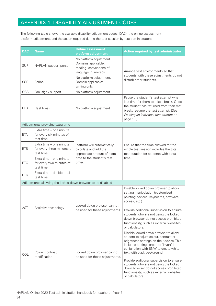# APPENDIX 1: DISABILITY ADJUSTMENT CODES

The following table shows the available disability adjustment codes (DAC), the online assessment platform adjustment, and the action required during the test session by test administrators.

| <b>DAC</b> | <b>Name</b>                                                        | <b>Online assessment</b><br>platform adjustment                                                                                     | <b>Action required by test administrator</b>                                                                                                                                                                                                                                                                                                                                                                                             |
|------------|--------------------------------------------------------------------|-------------------------------------------------------------------------------------------------------------------------------------|------------------------------------------------------------------------------------------------------------------------------------------------------------------------------------------------------------------------------------------------------------------------------------------------------------------------------------------------------------------------------------------------------------------------------------------|
| <b>SUP</b> | NAPLAN support person                                              | No platform adjustment.<br>Domains applicable:<br>reading, conventions of<br>language, numeracy.                                    | Arrange test environments so that                                                                                                                                                                                                                                                                                                                                                                                                        |
| <b>SCR</b> | Scribe                                                             | students with these adjustments do not<br>No platform adjustment.<br>disturb other students.<br>Domain applicable:<br>writing only. |                                                                                                                                                                                                                                                                                                                                                                                                                                          |
| OSS        | Oral sign / support                                                | No platform adjustment.                                                                                                             |                                                                                                                                                                                                                                                                                                                                                                                                                                          |
| <b>RBK</b> | Rest break                                                         | No platform adjustment.                                                                                                             | Pause the student's test attempt when<br>it is time for them to take a break. Once<br>the student has returned from their rest<br>break, resume the test attempt. (See<br>Pausing an individual test attempt on<br>page 19.)                                                                                                                                                                                                             |
|            | Adjustments providing extra time                                   |                                                                                                                                     |                                                                                                                                                                                                                                                                                                                                                                                                                                          |
| <b>ETA</b> | Extra time - one minute<br>for every six minutes of<br>test time   | Platform will automatically<br>calculate and add the<br>appropriate amount of extra<br>time to the student's test<br>timer.         |                                                                                                                                                                                                                                                                                                                                                                                                                                          |
| <b>ETB</b> | Extra time - one minute<br>for every three minutes of<br>test time |                                                                                                                                     | Ensure that the time allowed for the<br>whole test session includes the total<br>test duration for students with extra<br>time.                                                                                                                                                                                                                                                                                                          |
| <b>ETC</b> | Extra time - one minute<br>for every two minutes of<br>test time   |                                                                                                                                     |                                                                                                                                                                                                                                                                                                                                                                                                                                          |
| <b>ETD</b> | Extra time - double total<br>test time                             |                                                                                                                                     |                                                                                                                                                                                                                                                                                                                                                                                                                                          |
|            | Adjustments allowing the locked down browser to be disabled        |                                                                                                                                     |                                                                                                                                                                                                                                                                                                                                                                                                                                          |
| <b>AST</b> | Locked down browser cannot<br>Assistive technology                 | Disable locked down browser to allow<br>setting manipulation (customised<br>pointing devices, keyboards, software<br>access, etc.)  |                                                                                                                                                                                                                                                                                                                                                                                                                                          |
|            |                                                                    | be used for these adjustments.                                                                                                      | Provide additional supervision to ensure<br>students who are not using the locked<br>down browser do not access prohibited<br>functionality, such as external websites<br>or calculators.                                                                                                                                                                                                                                                |
| COL        | Colour contrast<br>modification                                    | Locked down browser cannot<br>be used for these adjustments.                                                                        | Disable locked down browser to allow<br>student to adjust colour, contrast or<br>brightness settings on their device. This<br>includes setting screen to 'invert' in<br>conjunction with BNW to create white<br>text with black background.<br>Provide additional supervision to ensure<br>students who are not using the locked<br>down browser do not access prohibited<br>functionality, such as external websites<br>or calculators. |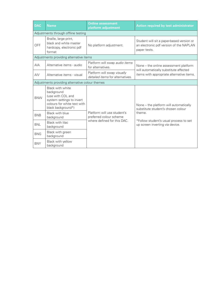| <b>DAC</b>                                      | <b>Name</b>                                                                                                                           | <b>Online assessment</b><br>platform adjustment                                       | <b>Action required by test administrator</b>                                                                                 |  |
|-------------------------------------------------|---------------------------------------------------------------------------------------------------------------------------------------|---------------------------------------------------------------------------------------|------------------------------------------------------------------------------------------------------------------------------|--|
|                                                 | Adjustments through offline testing                                                                                                   |                                                                                       |                                                                                                                              |  |
| OFF                                             | Braille, large print,<br>black and white master<br>hardcopy, electronic pdf<br>format                                                 | No platform adjustment.                                                               | Student will sit a paper-based version or<br>an electronic pdf version of the NAPLAN<br>paper tests.                         |  |
| Adjustments providing alternative items         |                                                                                                                                       |                                                                                       |                                                                                                                              |  |
| <b>AIA</b>                                      | Alternative items - audio                                                                                                             | Platform will swap audio items<br>for alternatives.                                   | None – the online assessment platform<br>will automatically substitute affected<br>items with appropriate alternative items. |  |
| AIV                                             | Alternative items - visual                                                                                                            | Platform will swap visually<br>detailed items for alternatives.                       |                                                                                                                              |  |
| Adjustments providing alternative colour themes |                                                                                                                                       |                                                                                       |                                                                                                                              |  |
| <b>BNW</b>                                      | Black with white<br>background<br>(use with COL and<br>system settings to invert<br>colours for white text with<br>black background*) | Platform will use student's<br>preferred colour scheme<br>where defined for this DAC. | None – the platform will automatically<br>substitute student's chosen colour<br>theme.                                       |  |
| <b>BNB</b>                                      | Black with blue<br>background                                                                                                         |                                                                                       |                                                                                                                              |  |
| <b>BNL</b>                                      | Black with lilac<br>background                                                                                                        |                                                                                       | *Follow student's usual process to set<br>up screen inverting via device.                                                    |  |
| <b>BNG</b>                                      | Black with green<br>background                                                                                                        |                                                                                       |                                                                                                                              |  |
| <b>BNY</b>                                      | Black with yellow<br>background                                                                                                       |                                                                                       |                                                                                                                              |  |